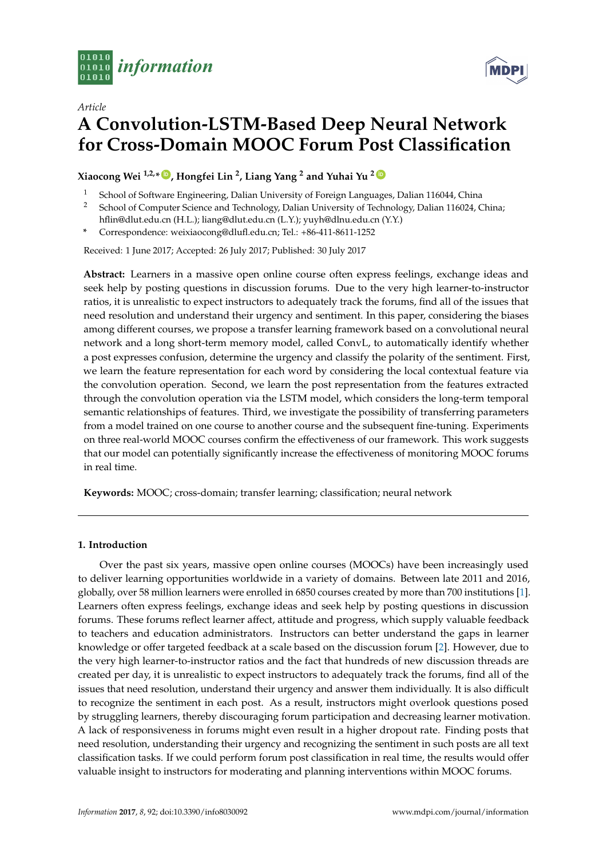



# *Article* **A Convolution-LSTM-Based Deep Neural Network for Cross-Domain MOOC Forum Post Classification**

**Xiaocong Wei 1,2,\* [ID](https://orcid.org/0000-0002-3675-1020) , Hongfei Lin <sup>2</sup> , Liang Yang <sup>2</sup> and Yuhai Yu <sup>2</sup> [ID](https://orcid.org/0000-0002-7827-3143)**

- School of Software Engineering, Dalian University of Foreign Languages, Dalian 116044, China
- <sup>2</sup> School of Computer Science and Technology, Dalian University of Technology, Dalian 116024, China;
- hflin@dlut.edu.cn (H.L.); liang@dlut.edu.cn (L.Y.); yuyh@dlnu.edu.cn (Y.Y.) **\*** Correspondence: weixiaocong@dlufl.edu.cn; Tel.: +86-411-8611-1252

Received: 1 June 2017; Accepted: 26 July 2017; Published: 30 July 2017

**Abstract:** Learners in a massive open online course often express feelings, exchange ideas and seek help by posting questions in discussion forums. Due to the very high learner-to-instructor ratios, it is unrealistic to expect instructors to adequately track the forums, find all of the issues that need resolution and understand their urgency and sentiment. In this paper, considering the biases among different courses, we propose a transfer learning framework based on a convolutional neural network and a long short-term memory model, called ConvL, to automatically identify whether a post expresses confusion, determine the urgency and classify the polarity of the sentiment. First, we learn the feature representation for each word by considering the local contextual feature via the convolution operation. Second, we learn the post representation from the features extracted through the convolution operation via the LSTM model, which considers the long-term temporal semantic relationships of features. Third, we investigate the possibility of transferring parameters from a model trained on one course to another course and the subsequent fine-tuning. Experiments on three real-world MOOC courses confirm the effectiveness of our framework. This work suggests that our model can potentially significantly increase the effectiveness of monitoring MOOC forums in real time.

**Keywords:** MOOC; cross-domain; transfer learning; classification; neural network

## **1. Introduction**

Over the past six years, massive open online courses (MOOCs) have been increasingly used to deliver learning opportunities worldwide in a variety of domains. Between late 2011 and 2016, globally, over 58 million learners were enrolled in 6850 courses created by more than 700 institutions [\[1\]](#page-13-0). Learners often express feelings, exchange ideas and seek help by posting questions in discussion forums. These forums reflect learner affect, attitude and progress, which supply valuable feedback to teachers and education administrators. Instructors can better understand the gaps in learner knowledge or offer targeted feedback at a scale based on the discussion forum [\[2\]](#page-13-1). However, due to the very high learner-to-instructor ratios and the fact that hundreds of new discussion threads are created per day, it is unrealistic to expect instructors to adequately track the forums, find all of the issues that need resolution, understand their urgency and answer them individually. It is also difficult to recognize the sentiment in each post. As a result, instructors might overlook questions posed by struggling learners, thereby discouraging forum participation and decreasing learner motivation. A lack of responsiveness in forums might even result in a higher dropout rate. Finding posts that need resolution, understanding their urgency and recognizing the sentiment in such posts are all text classification tasks. If we could perform forum post classification in real time, the results would offer valuable insight to instructors for moderating and planning interventions within MOOC forums.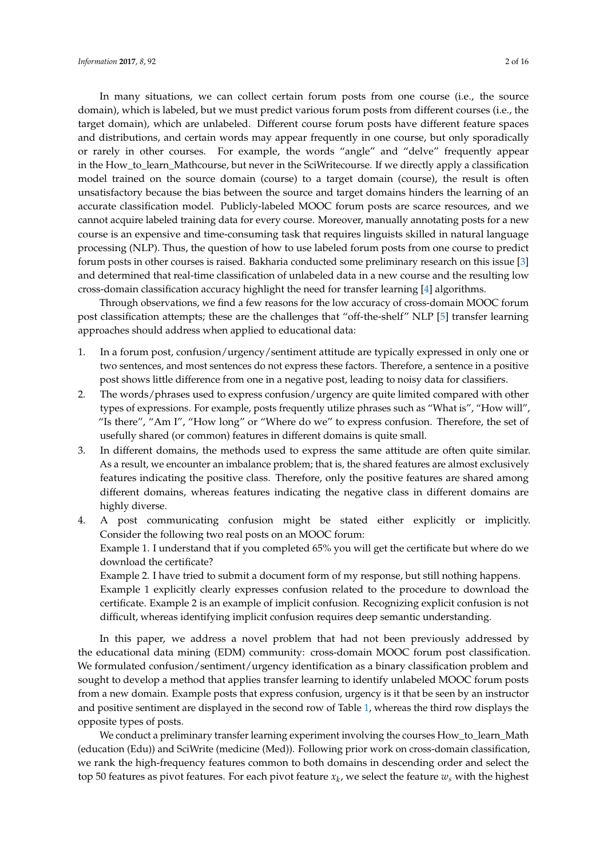In many situations, we can collect certain forum posts from one course (i.e., the source domain), which is labeled, but we must predict various forum posts from different courses (i.e., the target domain), which are unlabeled. Different course forum posts have different feature spaces and distributions, and certain words may appear frequently in one course, but only sporadically or rarely in other courses. For example, the words "angle" and "delve" frequently appear in the How\_to\_learn\_Mathcourse, but never in the SciWritecourse. If we directly apply a classification model trained on the source domain (course) to a target domain (course), the result is often unsatisfactory because the bias between the source and target domains hinders the learning of an accurate classification model. Publicly-labeled MOOC forum posts are scarce resources, and we cannot acquire labeled training data for every course. Moreover, manually annotating posts for a new course is an expensive and time-consuming task that requires linguists skilled in natural language processing (NLP). Thus, the question of how to use labeled forum posts from one course to predict forum posts in other courses is raised. Bakharia conducted some preliminary research on this issue [\[3\]](#page-13-2) and determined that real-time classification of unlabeled data in a new course and the resulting low cross-domain classification accuracy highlight the need for transfer learning [\[4\]](#page-13-3) algorithms.

Through observations, we find a few reasons for the low accuracy of cross-domain MOOC forum post classification attempts; these are the challenges that "off-the-shelf" NLP [\[5\]](#page-13-4) transfer learning approaches should address when applied to educational data:

- 1. In a forum post, confusion/urgency/sentiment attitude are typically expressed in only one or two sentences, and most sentences do not express these factors. Therefore, a sentence in a positive post shows little difference from one in a negative post, leading to noisy data for classifiers.
- 2. The words/phrases used to express confusion/urgency are quite limited compared with other types of expressions. For example, posts frequently utilize phrases such as "What is", "How will", "Is there", "Am I", "How long" or "Where do we" to express confusion. Therefore, the set of usefully shared (or common) features in different domains is quite small.
- 3. In different domains, the methods used to express the same attitude are often quite similar. As a result, we encounter an imbalance problem; that is, the shared features are almost exclusively features indicating the positive class. Therefore, only the positive features are shared among different domains, whereas features indicating the negative class in different domains are highly diverse.

4. A post communicating confusion might be stated either explicitly or implicitly. Consider the following two real posts on an MOOC forum: Example 1. I understand that if you completed 65% you will get the certificate but where do we download the certificate? Example 2. I have tried to submit a document form of my response, but still nothing happens.

Example 1 explicitly clearly expresses confusion related to the procedure to download the certificate. Example 2 is an example of implicit confusion. Recognizing explicit confusion is not difficult, whereas identifying implicit confusion requires deep semantic understanding.

In this paper, we address a novel problem that had not been previously addressed by the educational data mining (EDM) community: cross-domain MOOC forum post classification. We formulated confusion/sentiment/urgency identification as a binary classification problem and sought to develop a method that applies transfer learning to identify unlabeled MOOC forum posts from a new domain. Example posts that express confusion, urgency is it that be seen by an instructor and positive sentiment are displayed in the second row of Table [1,](#page-2-0) whereas the third row displays the opposite types of posts.

We conduct a preliminary transfer learning experiment involving the courses How\_to\_learn\_Math (education (Edu)) and SciWrite (medicine (Med)). Following prior work on cross-domain classification, we rank the high-frequency features common to both domains in descending order and select the top 50 features as pivot features. For each pivot feature *x<sup>k</sup>* , we select the feature *w<sup>s</sup>* with the highest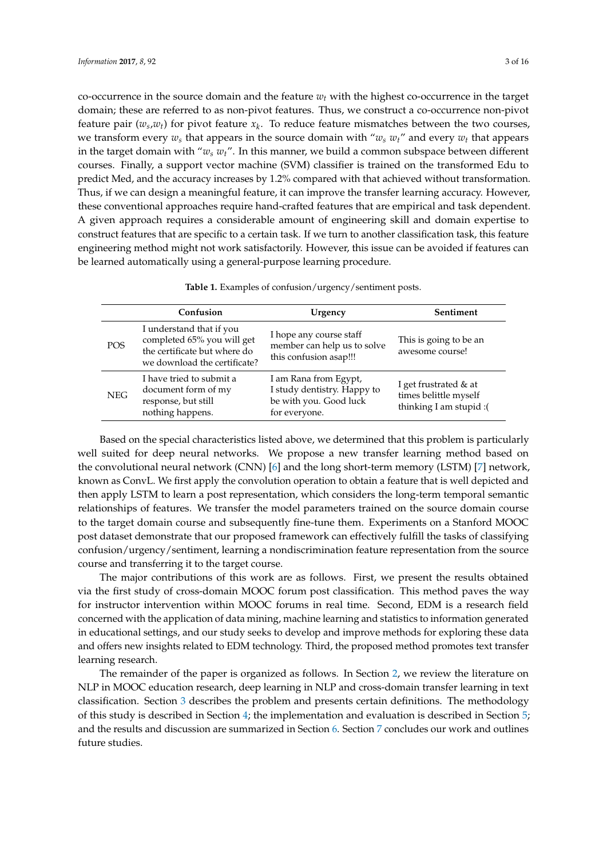co-occurrence in the source domain and the feature *w<sup>t</sup>* with the highest co-occurrence in the target domain; these are referred to as non-pivot features. Thus, we construct a co-occurrence non-pivot feature pair  $(w_s, w_t)$  for pivot feature  $x_k$ . To reduce feature mismatches between the two courses, we transform every  $w_s$  that appears in the source domain with " $w_s w_t$ " and every  $w_t$  that appears in the target domain with "*w<sup>s</sup> wt*". In this manner, we build a common subspace between different courses. Finally, a support vector machine (SVM) classifier is trained on the transformed Edu to predict Med, and the accuracy increases by 1.2% compared with that achieved without transformation. Thus, if we can design a meaningful feature, it can improve the transfer learning accuracy. However, these conventional approaches require hand-crafted features that are empirical and task dependent. A given approach requires a considerable amount of engineering skill and domain expertise to construct features that are specific to a certain task. If we turn to another classification task, this feature engineering method might not work satisfactorily. However, this issue can be avoided if features can be learned automatically using a general-purpose learning procedure.

**Table 1.** Examples of confusion/urgency/sentiment posts.

<span id="page-2-0"></span>

|            | Confusion                                                                                                              | Urgency                                                                                         | Sentiment                                                                 |
|------------|------------------------------------------------------------------------------------------------------------------------|-------------------------------------------------------------------------------------------------|---------------------------------------------------------------------------|
| <b>POS</b> | I understand that if you<br>completed 65% you will get<br>the certificate but where do<br>we download the certificate? | I hope any course staff<br>member can help us to solve<br>this confusion asap!!!                | This is going to be an<br>awesome course!                                 |
| <b>NEG</b> | I have tried to submit a<br>document form of my<br>response, but still<br>nothing happens.                             | I am Rana from Egypt,<br>I study dentistry. Happy to<br>be with you. Good luck<br>for everyone. | I get frustrated $&$ at<br>times belittle myself<br>thinking I am stupid: |

Based on the special characteristics listed above, we determined that this problem is particularly well suited for deep neural networks. We propose a new transfer learning method based on the convolutional neural network (CNN) [\[6\]](#page-13-5) and the long short-term memory (LSTM) [\[7\]](#page-13-6) network, known as ConvL. We first apply the convolution operation to obtain a feature that is well depicted and then apply LSTM to learn a post representation, which considers the long-term temporal semantic relationships of features. We transfer the model parameters trained on the source domain course to the target domain course and subsequently fine-tune them. Experiments on a Stanford MOOC post dataset demonstrate that our proposed framework can effectively fulfill the tasks of classifying confusion/urgency/sentiment, learning a nondiscrimination feature representation from the source course and transferring it to the target course.

The major contributions of this work are as follows. First, we present the results obtained via the first study of cross-domain MOOC forum post classification. This method paves the way for instructor intervention within MOOC forums in real time. Second, EDM is a research field concerned with the application of data mining, machine learning and statistics to information generated in educational settings, and our study seeks to develop and improve methods for exploring these data and offers new insights related to EDM technology. Third, the proposed method promotes text transfer learning research.

The remainder of the paper is organized as follows. In Section [2,](#page-3-0) we review the literature on NLP in MOOC education research, deep learning in NLP and cross-domain transfer learning in text classification. Section [3](#page-5-0) describes the problem and presents certain definitions. The methodology of this study is described in Section [4;](#page-5-1) the implementation and evaluation is described in Section [5;](#page-7-0) and the results and discussion are summarized in Section [6.](#page-9-0) Section [7](#page-12-0) concludes our work and outlines future studies.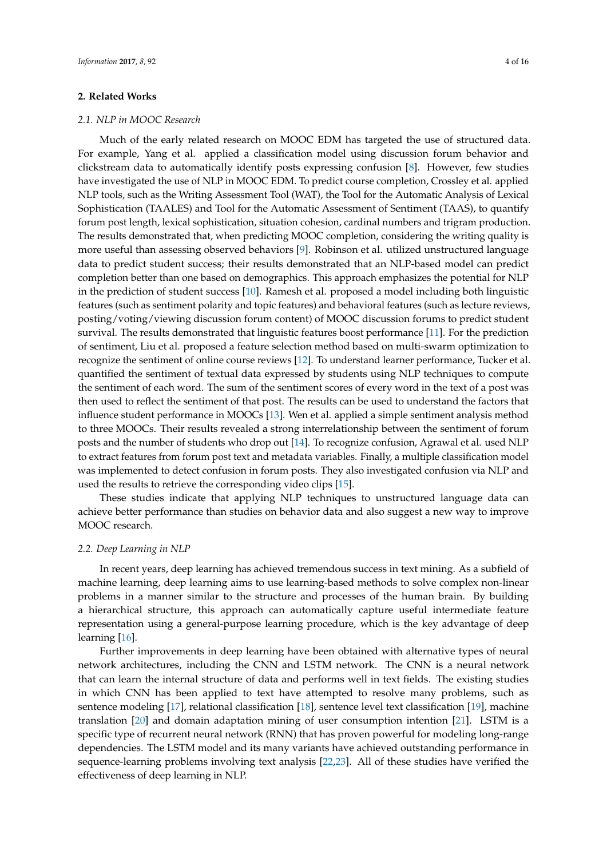### <span id="page-3-0"></span>**2. Related Works**

#### *2.1. NLP in MOOC Research*

Much of the early related research on MOOC EDM has targeted the use of structured data. For example, Yang et al. applied a classification model using discussion forum behavior and clickstream data to automatically identify posts expressing confusion [\[8\]](#page-13-7). However, few studies have investigated the use of NLP in MOOC EDM. To predict course completion, Crossley et al. applied NLP tools, such as the Writing Assessment Tool (WAT), the Tool for the Automatic Analysis of Lexical Sophistication (TAALES) and Tool for the Automatic Assessment of Sentiment (TAAS), to quantify forum post length, lexical sophistication, situation cohesion, cardinal numbers and trigram production. The results demonstrated that, when predicting MOOC completion, considering the writing quality is more useful than assessing observed behaviors [\[9\]](#page-13-8). Robinson et al. utilized unstructured language data to predict student success; their results demonstrated that an NLP-based model can predict completion better than one based on demographics. This approach emphasizes the potential for NLP in the prediction of student success [\[10\]](#page-13-9). Ramesh et al. proposed a model including both linguistic features (such as sentiment polarity and topic features) and behavioral features (such as lecture reviews, posting/voting/viewing discussion forum content) of MOOC discussion forums to predict student survival. The results demonstrated that linguistic features boost performance [\[11\]](#page-13-10). For the prediction of sentiment, Liu et al. proposed a feature selection method based on multi-swarm optimization to recognize the sentiment of online course reviews [\[12\]](#page-13-11). To understand learner performance, Tucker et al. quantified the sentiment of textual data expressed by students using NLP techniques to compute the sentiment of each word. The sum of the sentiment scores of every word in the text of a post was then used to reflect the sentiment of that post. The results can be used to understand the factors that influence student performance in MOOCs [\[13\]](#page-13-12). Wen et al. applied a simple sentiment analysis method to three MOOCs. Their results revealed a strong interrelationship between the sentiment of forum posts and the number of students who drop out [\[14\]](#page-14-0). To recognize confusion, Agrawal et al. used NLP to extract features from forum post text and metadata variables. Finally, a multiple classification model was implemented to detect confusion in forum posts. They also investigated confusion via NLP and used the results to retrieve the corresponding video clips [\[15\]](#page-14-1).

These studies indicate that applying NLP techniques to unstructured language data can achieve better performance than studies on behavior data and also suggest a new way to improve MOOC research.

#### *2.2. Deep Learning in NLP*

In recent years, deep learning has achieved tremendous success in text mining. As a subfield of machine learning, deep learning aims to use learning-based methods to solve complex non-linear problems in a manner similar to the structure and processes of the human brain. By building a hierarchical structure, this approach can automatically capture useful intermediate feature representation using a general-purpose learning procedure, which is the key advantage of deep learning [\[16\]](#page-14-2).

Further improvements in deep learning have been obtained with alternative types of neural network architectures, including the CNN and LSTM network. The CNN is a neural network that can learn the internal structure of data and performs well in text fields. The existing studies in which CNN has been applied to text have attempted to resolve many problems, such as sentence modeling [\[17\]](#page-14-3), relational classification [\[18\]](#page-14-4), sentence level text classification [\[19\]](#page-14-5), machine translation [\[20\]](#page-14-6) and domain adaptation mining of user consumption intention [\[21\]](#page-14-7). LSTM is a specific type of recurrent neural network (RNN) that has proven powerful for modeling long-range dependencies. The LSTM model and its many variants have achieved outstanding performance in sequence-learning problems involving text analysis [\[22,](#page-14-8)[23\]](#page-14-9). All of these studies have verified the effectiveness of deep learning in NLP.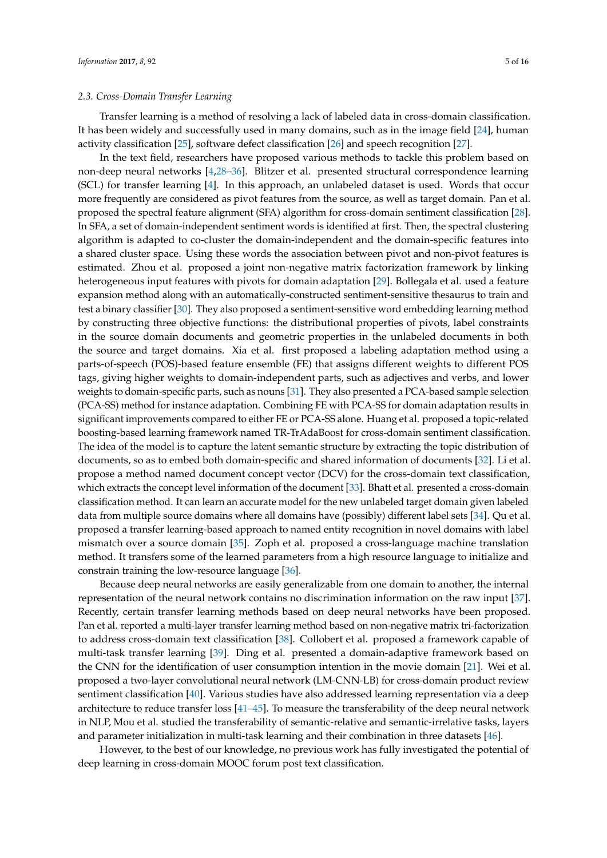#### *2.3. Cross-Domain Transfer Learning*

Transfer learning is a method of resolving a lack of labeled data in cross-domain classification. It has been widely and successfully used in many domains, such as in the image field [\[24\]](#page-14-10), human activity classification [\[25\]](#page-14-11), software defect classification [\[26\]](#page-14-12) and speech recognition [\[27\]](#page-14-13).

In the text field, researchers have proposed various methods to tackle this problem based on non-deep neural networks [\[4,](#page-13-3)[28](#page-14-14)[–36\]](#page-15-0). Blitzer et al. presented structural correspondence learning (SCL) for transfer learning [\[4\]](#page-13-3). In this approach, an unlabeled dataset is used. Words that occur more frequently are considered as pivot features from the source, as well as target domain. Pan et al. proposed the spectral feature alignment (SFA) algorithm for cross-domain sentiment classification [\[28\]](#page-14-14). In SFA, a set of domain-independent sentiment words is identified at first. Then, the spectral clustering algorithm is adapted to co-cluster the domain-independent and the domain-specific features into a shared cluster space. Using these words the association between pivot and non-pivot features is estimated. Zhou et al. proposed a joint non-negative matrix factorization framework by linking heterogeneous input features with pivots for domain adaptation [\[29\]](#page-14-15). Bollegala et al. used a feature expansion method along with an automatically-constructed sentiment-sensitive thesaurus to train and test a binary classifier [\[30\]](#page-14-16). They also proposed a sentiment-sensitive word embedding learning method by constructing three objective functions: the distributional properties of pivots, label constraints in the source domain documents and geometric properties in the unlabeled documents in both the source and target domains. Xia et al. first proposed a labeling adaptation method using a parts-of-speech (POS)-based feature ensemble (FE) that assigns different weights to different POS tags, giving higher weights to domain-independent parts, such as adjectives and verbs, and lower weights to domain-specific parts, such as nouns [\[31\]](#page-14-17). They also presented a PCA-based sample selection (PCA-SS) method for instance adaptation. Combining FE with PCA-SS for domain adaptation results in significant improvements compared to either FE or PCA-SS alone. Huang et al. proposed a topic-related boosting-based learning framework named TR-TrAdaBoost for cross-domain sentiment classification. The idea of the model is to capture the latent semantic structure by extracting the topic distribution of documents, so as to embed both domain-specific and shared information of documents [\[32\]](#page-14-18). Li et al. propose a method named document concept vector (DCV) for the cross-domain text classification, which extracts the concept level information of the document [\[33\]](#page-15-1). Bhatt et al. presented a cross-domain classification method. It can learn an accurate model for the new unlabeled target domain given labeled data from multiple source domains where all domains have (possibly) different label sets [\[34\]](#page-15-2). Qu et al. proposed a transfer learning-based approach to named entity recognition in novel domains with label mismatch over a source domain [\[35\]](#page-15-3). Zoph et al. proposed a cross-language machine translation method. It transfers some of the learned parameters from a high resource language to initialize and constrain training the low-resource language [\[36\]](#page-15-0).

Because deep neural networks are easily generalizable from one domain to another, the internal representation of the neural network contains no discrimination information on the raw input [\[37\]](#page-15-4). Recently, certain transfer learning methods based on deep neural networks have been proposed. Pan et al. reported a multi-layer transfer learning method based on non-negative matrix tri-factorization to address cross-domain text classification [\[38\]](#page-15-5). Collobert et al. proposed a framework capable of multi-task transfer learning [\[39\]](#page-15-6). Ding et al. presented a domain-adaptive framework based on the CNN for the identification of user consumption intention in the movie domain [\[21\]](#page-14-7). Wei et al. proposed a two-layer convolutional neural network (LM-CNN-LB) for cross-domain product review sentiment classification [\[40\]](#page-15-7). Various studies have also addressed learning representation via a deep architecture to reduce transfer loss [\[41](#page-15-8)[–45\]](#page-15-9). To measure the transferability of the deep neural network in NLP, Mou et al. studied the transferability of semantic-relative and semantic-irrelative tasks, layers and parameter initialization in multi-task learning and their combination in three datasets [\[46\]](#page-15-10).

However, to the best of our knowledge, no previous work has fully investigated the potential of deep learning in cross-domain MOOC forum post text classification.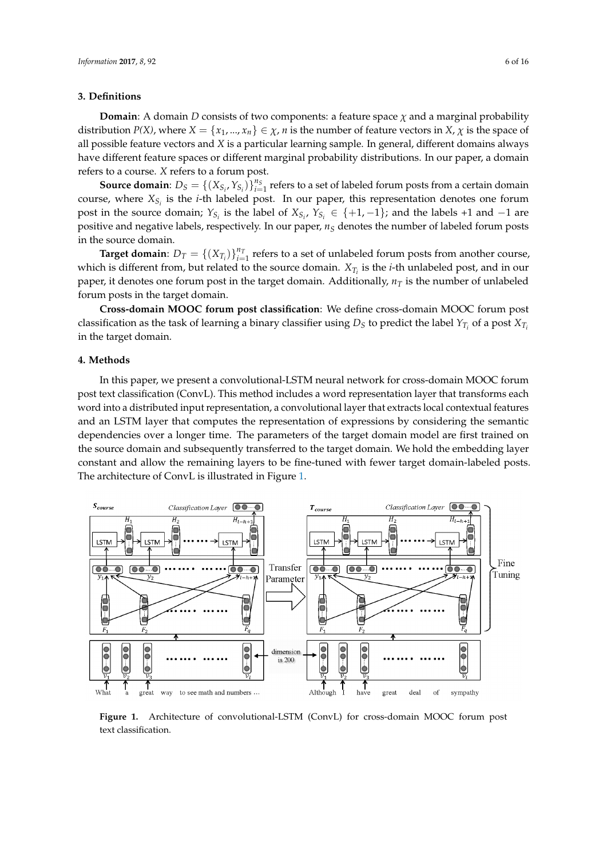#### <span id="page-5-0"></span>**3. Definitions**

**Domain**: A domain *D* consists of two components: a feature space  $\chi$  and a marginal probability distribution *P(X)*, where  $X = \{x_1, ..., x_n\} \in \chi$ , *n* is the number of feature vectors in  $X$ ,  $\chi$  is the space of all possible feature vectors and *X* is a particular learning sample. In general, different domains always have different feature spaces or different marginal probability distributions. In our paper, a domain refers to a course. *X* refers to a forum post.

**Source domain**:  $D_S = \{(X_{S_i}, Y_{S_i})\}_{i=1}^{n_S}$  refers to a set of labeled forum posts from a certain domain course, where *XS<sup>i</sup>* is the *i*-th labeled post. In our paper, this representation denotes one forum post in the source domain;  $Y_{S_i}$  is the label of  $X_{S_i}$ ,  $Y_{S_i} \in \{+1, -1\}$ ; and the labels +1 and -1 are positive and negative labels, respectively. In our paper, *n<sup>S</sup>* denotes the number of labeled forum posts in the source domain.

**Target domain**:  $D_T = \{(X_{T_i})\}_{i=1}^{n_T}$  refers to a set of unlabeled forum posts from another course, which is different from, but related to the source domain. *XT<sup>i</sup>* is the *i*-th unlabeled post, and in our paper, it denotes one forum post in the target domain. Additionally, *n<sup>T</sup>* is the number of unlabeled forum posts in the target domain.

**Cross-domain MOOC forum post classification**: We define cross-domain MOOC forum post classification as the task of learning a binary classifier using  $D_S$  to predict the label  $Y_{T_i}$  of a post  $X_{T_i}$ in the target domain.

### <span id="page-5-1"></span>**4. Methods**

In this paper, we present a convolutional-LSTM neural network for cross-domain MOOC forum post text classification (ConvL). This method includes a word representation layer that transforms each word into a distributed input representation, a convolutional layer that extracts local contextual features and an LSTM layer that computes the representation of expressions by considering the semantic dependencies over a longer time. The parameters of the target domain model are first trained on the source domain and subsequently transferred to the target domain. We hold the embedding layer constant and allow the remaining layers to be fine-tuned with fewer target domain-labeled posts. The architecture of ConvL is illustrated in Figure [1.](#page-5-2)

<span id="page-5-2"></span>

Figure 1. Architecture of convolutional-LSTM (ConvL) for cross-domain MOOC forum post text classification.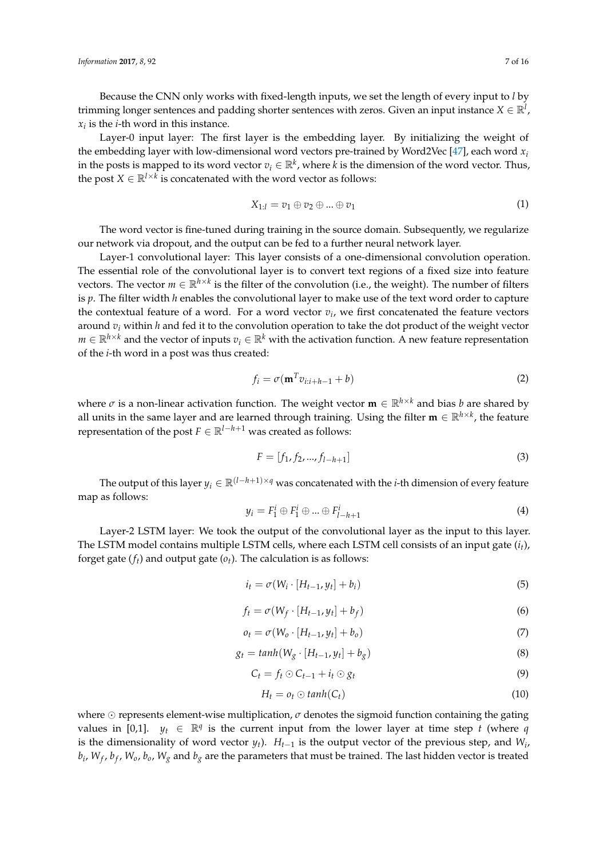Because the CNN only works with fixed-length inputs, we set the length of every input to *l* by trimming longer sentences and padding shorter sentences with zeros. Given an input instance  $X \in \mathbb{R}^l$ , *xi* is the *i*-th word in this instance.

Layer-0 input layer: The first layer is the embedding layer. By initializing the weight of the embedding layer with low-dimensional word vectors pre-trained by Word2Vec  $[47]$ , each word  $x_i$ in the posts is mapped to its word vector  $v_i \in \mathbb{R}^k$ , where *k* is the dimension of the word vector. Thus, the post  $X \in \mathbb{R}^{l \times k}$  is concatenated with the word vector as follows:

$$
X_{1:l} = v_1 \oplus v_2 \oplus \dots \oplus v_1 \tag{1}
$$

The word vector is fine-tuned during training in the source domain. Subsequently, we regularize our network via dropout, and the output can be fed to a further neural network layer.

Layer-1 convolutional layer: This layer consists of a one-dimensional convolution operation. The essential role of the convolutional layer is to convert text regions of a fixed size into feature vectors. The vector  $m\in\mathbb{R}^{h\times k}$  is the filter of the convolution (i.e., the weight). The number of filters is *p*. The filter width *h* enables the convolutional layer to make use of the text word order to capture the contextual feature of a word. For a word vector  $v_i$ , we first concatenated the feature vectors around *v<sup>i</sup>* within *h* and fed it to the convolution operation to take the dot product of the weight vector *m* ∈  $\mathbb{R}^{h \times k}$  and the vector of inputs  $v_i$  ∈  $\mathbb{R}^k$  with the activation function. A new feature representation of the *i*-th word in a post was thus created:

$$
f_i = \sigma(\mathbf{m}^T v_{i:i+h-1} + b)
$$
 (2)

where  $\sigma$  is a non-linear activation function. The weight vector  $\mathbf{m} \in \mathbb{R}^{h \times k}$  and bias *b* are shared by all units in the same layer and are learned through training. Using the filter  $\mathbf{m} \in \mathbb{R}^{h \times k}$ , the feature representation of the post  $F \in \mathbb{R}^{l-h+1}$  was created as follows:

$$
F = [f_1, f_2, ..., f_{l-h+1}]
$$
\n(3)

The output of this layer  $y_i \in \mathbb{R}^{(l-h+1)\times q}$  was concatenated with the *i*-th dimension of every feature map as follows:

$$
y_i = F_1^i \oplus F_1^i \oplus \dots \oplus F_{l-h+1}^i \tag{4}
$$

Layer-2 LSTM layer: We took the output of the convolutional layer as the input to this layer. The LSTM model contains multiple LSTM cells, where each LSTM cell consists of an input gate (*it*), forget gate (*ft*) and output gate (*ot*). The calculation is as follows:

$$
i_t = \sigma(W_i \cdot [H_{t-1}, y_t] + b_i)
$$
\n<sup>(5)</sup>

$$
f_t = \sigma(W_f \cdot [H_{t-1}, y_t] + b_f)
$$
\n<sup>(6)</sup>

$$
o_t = \sigma(W_o \cdot [H_{t-1}, y_t] + b_o)
$$
\n<sup>(7)</sup>

$$
g_t = \tanh(W_g \cdot [H_{t-1}, y_t] + b_g) \tag{8}
$$

$$
C_t = f_t \odot C_{t-1} + i_t \odot g_t \tag{9}
$$

$$
H_t = o_t \odot \tanh(C_t) \tag{10}
$$

where  $\odot$  represents element-wise multiplication,  $\sigma$  denotes the sigmoid function containing the gating values in [0,1].  $y_t \in \mathbb{R}^q$  is the current input from the lower layer at time step *t* (where *q* is the dimensionality of word vector  $y_t$ ).  $H_{t-1}$  is the output vector of the previous step, and  $W_i$ , *bi* , *W<sup>f</sup>* , *b<sup>f</sup>* , *Wo*, *bo*, *W<sup>g</sup>* and *b<sup>g</sup>* are the parameters that must be trained. The last hidden vector is treated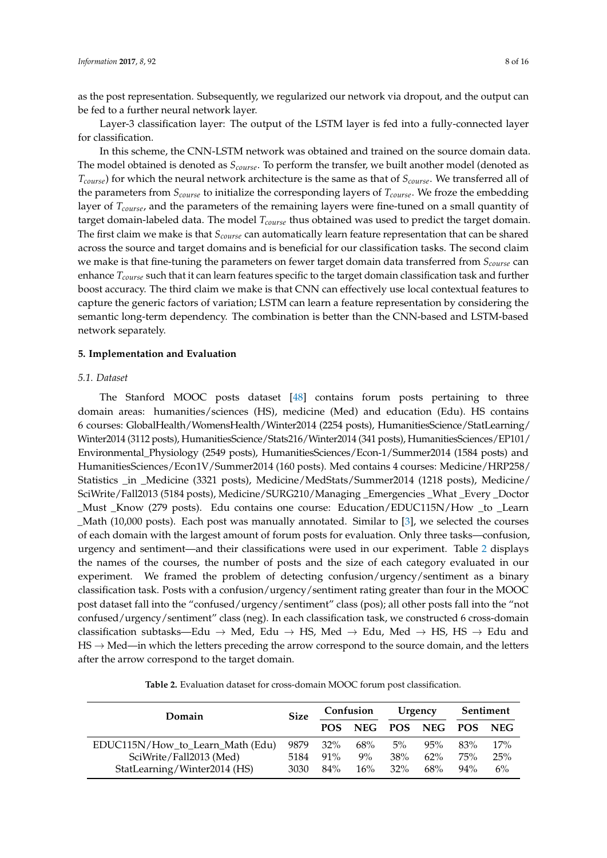as the post representation. Subsequently, we regularized our network via dropout, and the output can be fed to a further neural network layer.

Layer-3 classification layer: The output of the LSTM layer is fed into a fully-connected layer for classification.

In this scheme, the CNN-LSTM network was obtained and trained on the source domain data. The model obtained is denoted as *Scourse*. To perform the transfer, we built another model (denoted as *Tcourse*) for which the neural network architecture is the same as that of *Scourse*. We transferred all of the parameters from *Scourse* to initialize the corresponding layers of *Tcourse*. We froze the embedding layer of *Tcourse*, and the parameters of the remaining layers were fine-tuned on a small quantity of target domain-labeled data. The model *Tcourse* thus obtained was used to predict the target domain. The first claim we make is that *Scourse* can automatically learn feature representation that can be shared across the source and target domains and is beneficial for our classification tasks. The second claim we make is that fine-tuning the parameters on fewer target domain data transferred from *Scourse* can enhance *Tcourse* such that it can learn features specific to the target domain classification task and further boost accuracy. The third claim we make is that CNN can effectively use local contextual features to capture the generic factors of variation; LSTM can learn a feature representation by considering the semantic long-term dependency. The combination is better than the CNN-based and LSTM-based network separately.

## <span id="page-7-0"></span>**5. Implementation and Evaluation**

## <span id="page-7-2"></span>*5.1. Dataset*

The Stanford MOOC posts dataset [\[48\]](#page-15-12) contains forum posts pertaining to three domain areas: humanities/sciences (HS), medicine (Med) and education (Edu). HS contains 6 courses: GlobalHealth/WomensHealth/Winter2014 (2254 posts), HumanitiesScience/StatLearning/ Winter2014 (3112 posts), HumanitiesScience/Stats216/Winter2014 (341 posts), HumanitiesSciences/EP101/ Environmental\_Physiology (2549 posts), HumanitiesSciences/Econ-1/Summer2014 (1584 posts) and HumanitiesSciences/Econ1V/Summer2014 (160 posts). Med contains 4 courses: Medicine/HRP258/ Statistics \_in \_Medicine (3321 posts), Medicine/MedStats/Summer2014 (1218 posts), Medicine/ SciWrite/Fall2013 (5184 posts), Medicine/SURG210/Managing \_Emergencies \_What \_Every \_Doctor \_Must \_Know (279 posts). Edu contains one course: Education/EDUC115N/How \_to \_Learn \_Math (10,000 posts). Each post was manually annotated. Similar to [\[3\]](#page-13-2), we selected the courses of each domain with the largest amount of forum posts for evaluation. Only three tasks—confusion, urgency and sentiment—and their classifications were used in our experiment. Table [2](#page-7-1) displays the names of the courses, the number of posts and the size of each category evaluated in our experiment. We framed the problem of detecting confusion/urgency/sentiment as a binary classification task. Posts with a confusion/urgency/sentiment rating greater than four in the MOOC post dataset fall into the "confused/urgency/sentiment" class (pos); all other posts fall into the "not confused/urgency/sentiment" class (neg). In each classification task, we constructed 6 cross-domain classification subtasks—Edu  $\rightarrow$  Med, Edu  $\rightarrow$  HS, Med  $\rightarrow$  Edu, Med  $\rightarrow$  HS, HS  $\rightarrow$  Edu and  $\text{HS} \rightarrow \text{Med}$ —in which the letters preceding the arrow correspond to the source domain, and the letters after the arrow correspond to the target domain.

**Table 2.** Evaluation dataset for cross-domain MOOC forum post classification.

<span id="page-7-1"></span>

| Domain                           |      | Confusion  |            | Urgency |                 | Sentiment |     |
|----------------------------------|------|------------|------------|---------|-----------------|-----------|-----|
|                                  |      | <b>POS</b> | <b>NEG</b> |         | POS NEG POS NEG |           |     |
| EDUC115N/How_to_Learn_Math (Edu) | 9879 | $32\%$     | 68%        | $5\%$   | 95%             | 83%       | 17% |
| SciWrite/Fall2013 (Med)          | 5184 | $91\%$     | $9\%$      | 38%     | $62\%$          | 75%       | 25% |
| StatLearning/Winter2014 (HS)     | 3030 | $84\%$     | $16\%$     | $32\%$  | 68%             | $94\%$    | 6%  |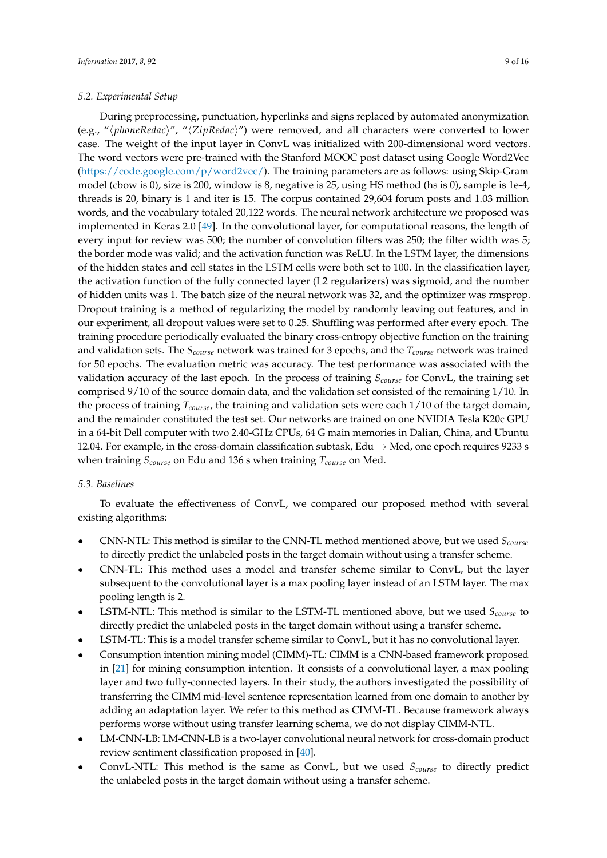#### <span id="page-8-0"></span>*5.2. Experimental Setup*

During preprocessing, punctuation, hyperlinks and signs replaced by automated anonymization (e.g., "/phoneRedac)", " $\langle ZipRedac\rangle$ ") were removed, and all characters were converted to lower case. The weight of the input layer in ConvL was initialized with 200-dimensional word vectors. The word vectors were pre-trained with the Stanford MOOC post dataset using Google Word2Vec [\(https://code.google.com/p/word2vec/\)](https://code.google.com/p/word2vec/). The training parameters are as follows: using Skip-Gram model (cbow is 0), size is 200, window is 8, negative is 25, using HS method (hs is 0), sample is 1e-4, threads is 20, binary is 1 and iter is 15. The corpus contained 29,604 forum posts and 1.03 million words, and the vocabulary totaled 20,122 words. The neural network architecture we proposed was implemented in Keras 2.0 [\[49\]](#page-15-13). In the convolutional layer, for computational reasons, the length of every input for review was 500; the number of convolution filters was 250; the filter width was 5; the border mode was valid; and the activation function was ReLU. In the LSTM layer, the dimensions of the hidden states and cell states in the LSTM cells were both set to 100. In the classification layer, the activation function of the fully connected layer (L2 regularizers) was sigmoid, and the number of hidden units was 1. The batch size of the neural network was 32, and the optimizer was rmsprop. Dropout training is a method of regularizing the model by randomly leaving out features, and in our experiment, all dropout values were set to 0.25. Shuffling was performed after every epoch. The training procedure periodically evaluated the binary cross-entropy objective function on the training and validation sets. The *Scourse* network was trained for 3 epochs, and the *Tcourse* network was trained for 50 epochs. The evaluation metric was accuracy. The test performance was associated with the validation accuracy of the last epoch. In the process of training *Scourse* for ConvL, the training set comprised 9/10 of the source domain data, and the validation set consisted of the remaining 1/10. In the process of training *Tcourse*, the training and validation sets were each 1/10 of the target domain, and the remainder constituted the test set. Our networks are trained on one NVIDIA Tesla K20c GPU in a 64-bit Dell computer with two 2.40-GHz CPUs, 64 G main memories in Dalian, China, and Ubuntu 12.04. For example, in the cross-domain classification subtask, Edu  $\rightarrow$  Med, one epoch requires 9233 s when training *Scourse* on Edu and 136 s when training *Tcourse* on Med.

## *5.3. Baselines*

To evaluate the effectiveness of ConvL, we compared our proposed method with several existing algorithms:

- CNN-NTL: This method is similar to the CNN-TL method mentioned above, but we used *Scourse* to directly predict the unlabeled posts in the target domain without using a transfer scheme.
- CNN-TL: This method uses a model and transfer scheme similar to ConvL, but the layer subsequent to the convolutional layer is a max pooling layer instead of an LSTM layer. The max pooling length is 2.
- LSTM-NTL: This method is similar to the LSTM-TL mentioned above, but we used *Scourse* to directly predict the unlabeled posts in the target domain without using a transfer scheme.
- LSTM-TL: This is a model transfer scheme similar to ConvL, but it has no convolutional layer.
- Consumption intention mining model (CIMM)-TL: CIMM is a CNN-based framework proposed in [\[21\]](#page-14-7) for mining consumption intention. It consists of a convolutional layer, a max pooling layer and two fully-connected layers. In their study, the authors investigated the possibility of transferring the CIMM mid-level sentence representation learned from one domain to another by adding an adaptation layer. We refer to this method as CIMM-TL. Because framework always performs worse without using transfer learning schema, we do not display CIMM-NTL.
- LM-CNN-LB: LM-CNN-LB is a two-layer convolutional neural network for cross-domain product review sentiment classification proposed in [\[40\]](#page-15-7).
- ConvL-NTL: This method is the same as ConvL, but we used *Scourse* to directly predict the unlabeled posts in the target domain without using a transfer scheme.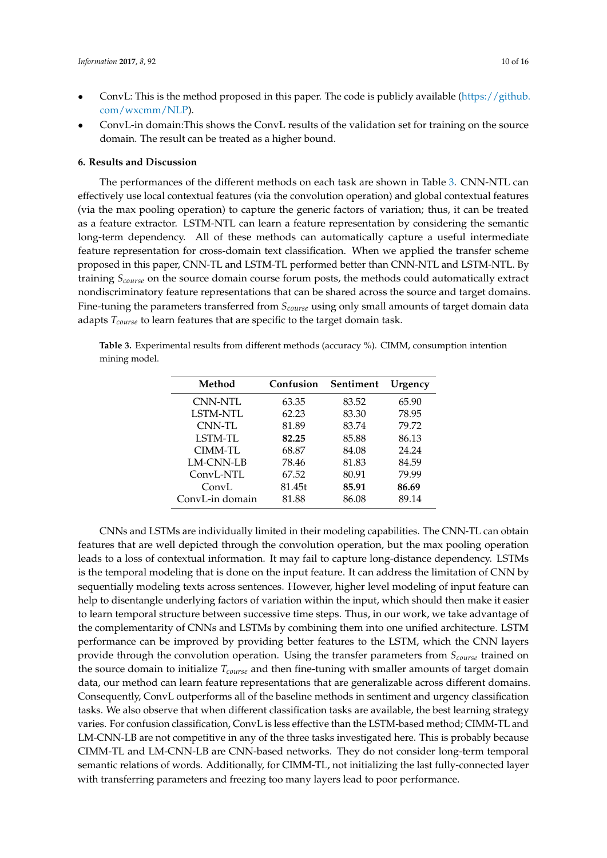- ConvL: This is the method proposed in this paper. The code is publicly available [\(https://github.](https://github.com/wxcmm/NLP) [com/wxcmm/NLP\)](https://github.com/wxcmm/NLP).
- ConvL-in domain:This shows the ConvL results of the validation set for training on the source domain. The result can be treated as a higher bound.

#### <span id="page-9-0"></span>**6. Results and Discussion**

The performances of the different methods on each task are shown in Table [3.](#page-9-1) CNN-NTL can effectively use local contextual features (via the convolution operation) and global contextual features (via the max pooling operation) to capture the generic factors of variation; thus, it can be treated as a feature extractor. LSTM-NTL can learn a feature representation by considering the semantic long-term dependency. All of these methods can automatically capture a useful intermediate feature representation for cross-domain text classification. When we applied the transfer scheme proposed in this paper, CNN-TL and LSTM-TL performed better than CNN-NTL and LSTM-NTL. By training *Scourse* on the source domain course forum posts, the methods could automatically extract nondiscriminatory feature representations that can be shared across the source and target domains. Fine-tuning the parameters transferred from *Scourse* using only small amounts of target domain data adapts *Tcourse* to learn features that are specific to the target domain task.

<span id="page-9-1"></span>**Table 3.** Experimental results from different methods (accuracy %). CIMM, consumption intention mining model.

| Method          | Confusion | Sentiment | Urgency |
|-----------------|-----------|-----------|---------|
| CNN-NTL         | 63.35     | 83.52     | 65.90   |
| LSTM-NTL        | 62.23     | 83.30     | 78.95   |
| CNN-TL          | 81.89     | 83.74     | 79.72   |
| LSTM-TL         | 82.25     | 85.88     | 86.13   |
| CIMM-TL         | 68.87     | 84.08     | 24.24   |
| LM-CNN-LB       | 78.46     | 81.83     | 84.59   |
| ConvL-NTL       | 67.52     | 80.91     | 79.99   |
| ConvL           | 81.45t    | 85.91     | 86.69   |
| ConvL-in domain | 81.88     | 86.08     | 89.14   |

CNNs and LSTMs are individually limited in their modeling capabilities. The CNN-TL can obtain features that are well depicted through the convolution operation, but the max pooling operation leads to a loss of contextual information. It may fail to capture long-distance dependency. LSTMs is the temporal modeling that is done on the input feature. It can address the limitation of CNN by sequentially modeling texts across sentences. However, higher level modeling of input feature can help to disentangle underlying factors of variation within the input, which should then make it easier to learn temporal structure between successive time steps. Thus, in our work, we take advantage of the complementarity of CNNs and LSTMs by combining them into one unified architecture. LSTM performance can be improved by providing better features to the LSTM, which the CNN layers provide through the convolution operation. Using the transfer parameters from *Scourse* trained on the source domain to initialize *Tcourse* and then fine-tuning with smaller amounts of target domain data, our method can learn feature representations that are generalizable across different domains. Consequently, ConvL outperforms all of the baseline methods in sentiment and urgency classification tasks. We also observe that when different classification tasks are available, the best learning strategy varies. For confusion classification, ConvL is less effective than the LSTM-based method; CIMM-TL and LM-CNN-LB are not competitive in any of the three tasks investigated here. This is probably because CIMM-TL and LM-CNN-LB are CNN-based networks. They do not consider long-term temporal semantic relations of words. Additionally, for CIMM-TL, not initializing the last fully-connected layer with transferring parameters and freezing too many layers lead to poor performance.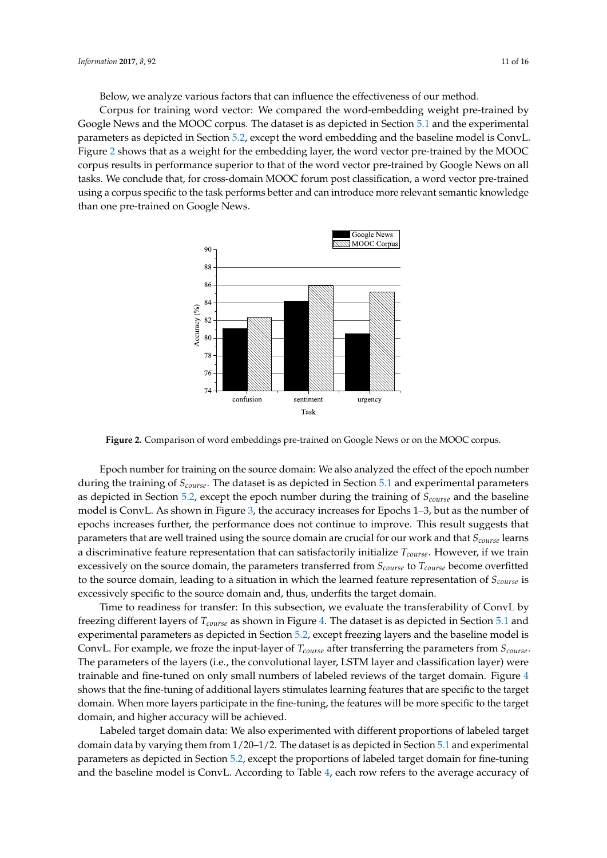Below, we analyze various factors that can influence the effectiveness of our method.

Corpus for training word vector: We compared the word-embedding weight pre-trained by Google News and the MOOC corpus. The dataset is as depicted in Section [5.1](#page-7-2) and the experimental parameters as depicted in Section [5.2,](#page-8-0) except the word embedding and the baseline model is ConvL. Figure [2](#page-10-0) shows that as a weight for the embedding layer, the word vector pre-trained by the MOOC corpus results in performance superior to that of the word vector pre-trained by Google News on all tasks. We conclude that, for cross-domain MOOC forum post classification, a word vector pre-trained using a corpus specific to the task performs better and can introduce more relevant semantic knowledge than one pre-trained on Google News.

<span id="page-10-0"></span>

**Figure 2.** Comparison of word embeddings pre-trained on Google News or on the MOOC corpus.

Epoch number for training on the source domain: We also analyzed the effect of the epoch number during the training of *Scourse*. The dataset is as depicted in Section [5.1](#page-7-2) and experimental parameters as depicted in Section [5.2,](#page-8-0) except the epoch number during the training of *Scourse* and the baseline model is ConvL. As shown in Figure [3,](#page-11-0) the accuracy increases for Epochs 1–3, but as the number of epochs increases further, the performance does not continue to improve. This result suggests that parameters that are well trained using the source domain are crucial for our work and that *Scourse* learns a discriminative feature representation that can satisfactorily initialize *Tcourse*. However, if we train excessively on the source domain, the parameters transferred from *Scourse* to *Tcourse* become overfitted to the source domain, leading to a situation in which the learned feature representation of *Scourse* is excessively specific to the source domain and, thus, underfits the target domain.

Time to readiness for transfer: In this subsection, we evaluate the transferability of ConvL by freezing different layers of *Tcourse* as shown in Figure [4.](#page-11-1) The dataset is as depicted in Section [5.1](#page-7-2) and experimental parameters as depicted in Section [5.2,](#page-8-0) except freezing layers and the baseline model is ConvL. For example, we froze the input-layer of *Tcourse* after transferring the parameters from *Scourse*. The parameters of the layers (i.e., the convolutional layer, LSTM layer and classification layer) were trainable and fine-tuned on only small numbers of labeled reviews of the target domain. Figure [4](#page-11-1) shows that the fine-tuning of additional layers stimulates learning features that are specific to the target domain. When more layers participate in the fine-tuning, the features will be more specific to the target domain, and higher accuracy will be achieved.

Labeled target domain data: We also experimented with different proportions of labeled target domain data by varying them from  $1/20-1/2$ . The dataset is as depicted in Section [5.1](#page-7-2) and experimental parameters as depicted in Section [5.2,](#page-8-0) except the proportions of labeled target domain for fine-tuning and the baseline model is ConvL. According to Table [4,](#page-11-2) each row refers to the average accuracy of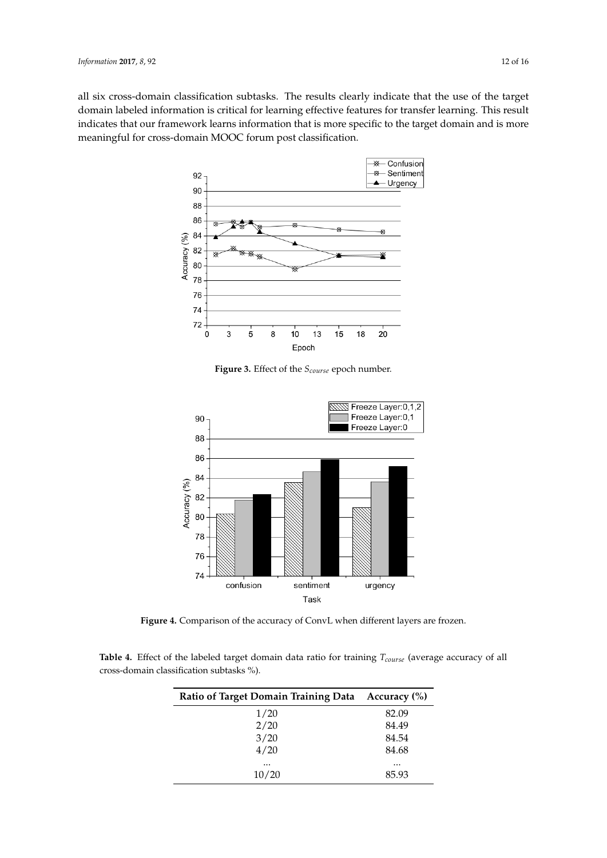<span id="page-11-0"></span>all six cross-domain classification subtasks. The results clearly indicate that the use of the target domain labeled information is critical for learning effective features for transfer learning. This result indicates that our framework learns information that is more specific to the target domain and is more meaningful for cross-domain MOOC forum post classification.



**Figure 3.** Effect of the *Scourse* epoch number.

<span id="page-11-1"></span>

**Figure 4.** Comparison of the accuracy of ConvL when different layers are frozen.

<span id="page-11-2"></span>**Table 4.** Effect of the labeled target domain data ratio for training *Tcourse* (average accuracy of all cross-domain classification subtasks %).

| Ratio of Target Domain Training Data Accuracy (%) |          |
|---------------------------------------------------|----------|
| 1/20                                              | 82.09    |
| 2/20                                              | 84.49    |
| 3/20                                              | 84.54    |
| 4/20                                              | 84.68    |
| $\cdots$                                          | $\cdots$ |
| 10/20                                             | 85.93    |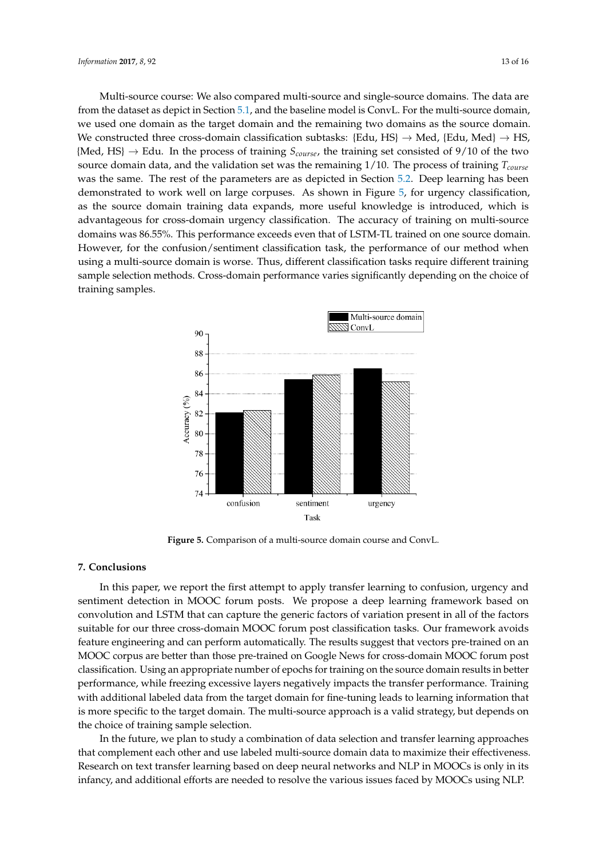Multi-source course: We also compared multi-source and single-source domains. The data are from the dataset as depict in Section [5.1,](#page-7-2) and the baseline model is ConvL. For the multi-source domain, we used one domain as the target domain and the remaining two domains as the source domain. We constructed three cross-domain classification subtasks: {Edu, HS}  $\rightarrow$  Med, {Edu, Med}  $\rightarrow$  HS, {Med, HS} → Edu. In the process of training *Scourse*, the training set consisted of 9/10 of the two source domain data, and the validation set was the remaining 1/10. The process of training *Tcourse* was the same. The rest of the parameters are as depicted in Section [5.2.](#page-8-0) Deep learning has been demonstrated to work well on large corpuses. As shown in Figure [5,](#page-12-1) for urgency classification, as the source domain training data expands, more useful knowledge is introduced, which is advantageous for cross-domain urgency classification. The accuracy of training on multi-source domains was 86.55%. This performance exceeds even that of LSTM-TL trained on one source domain. However, for the confusion/sentiment classification task, the performance of our method when using a multi-source domain is worse. Thus, different classification tasks require different training sample selection methods. Cross-domain performance varies significantly depending on the choice of training samples.

<span id="page-12-1"></span>

**Figure 5.** Comparison of a multi-source domain course and ConvL.

## <span id="page-12-0"></span>**7. Conclusions**

In this paper, we report the first attempt to apply transfer learning to confusion, urgency and sentiment detection in MOOC forum posts. We propose a deep learning framework based on convolution and LSTM that can capture the generic factors of variation present in all of the factors suitable for our three cross-domain MOOC forum post classification tasks. Our framework avoids feature engineering and can perform automatically. The results suggest that vectors pre-trained on an MOOC corpus are better than those pre-trained on Google News for cross-domain MOOC forum post classification. Using an appropriate number of epochs for training on the source domain results in better performance, while freezing excessive layers negatively impacts the transfer performance. Training with additional labeled data from the target domain for fine-tuning leads to learning information that is more specific to the target domain. The multi-source approach is a valid strategy, but depends on the choice of training sample selection.

In the future, we plan to study a combination of data selection and transfer learning approaches that complement each other and use labeled multi-source domain data to maximize their effectiveness. Research on text transfer learning based on deep neural networks and NLP in MOOCs is only in its infancy, and additional efforts are needed to resolve the various issues faced by MOOCs using NLP.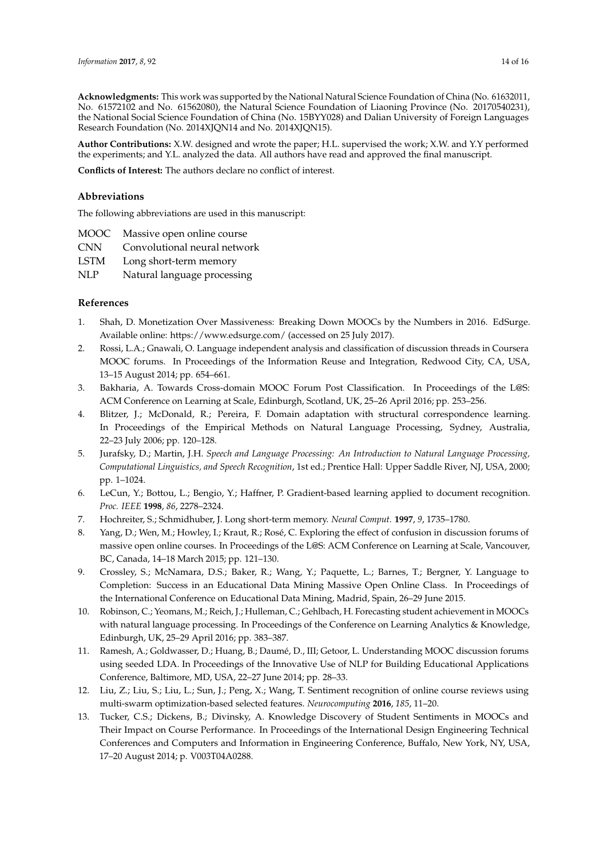**Acknowledgments:** This work was supported by the National Natural Science Foundation of China (No. 61632011, No. 61572102 and No. 61562080), the Natural Science Foundation of Liaoning Province (No. 20170540231), the National Social Science Foundation of China (No. 15BYY028) and Dalian University of Foreign Languages Research Foundation (No. 2014XJQN14 and No. 2014XJQN15).

**Author Contributions:** X.W. designed and wrote the paper; H.L. supervised the work; X.W. and Y.Y performed the experiments; and Y.L. analyzed the data. All authors have read and approved the final manuscript.

**Conflicts of Interest:** The authors declare no conflict of interest.

## **Abbreviations**

The following abbreviations are used in this manuscript:

- MOOC Massive open online course
- CNN Convolutional neural network

LSTM Long short-term memory

NLP Natural language processing

## **References**

- <span id="page-13-0"></span>1. Shah, D. Monetization Over Massiveness: Breaking Down MOOCs by the Numbers in 2016. EdSurge. Available online: https://www.edsurge.com/ (accessed on 25 July 2017).
- <span id="page-13-1"></span>2. Rossi, L.A.; Gnawali, O. Language independent analysis and classification of discussion threads in Coursera MOOC forums. In Proceedings of the Information Reuse and Integration, Redwood City, CA, USA, 13–15 August 2014; pp. 654–661.
- <span id="page-13-2"></span>3. Bakharia, A. Towards Cross-domain MOOC Forum Post Classification. In Proceedings of the L@S: ACM Conference on Learning at Scale, Edinburgh, Scotland, UK, 25–26 April 2016; pp. 253–256.
- <span id="page-13-3"></span>4. Blitzer, J.; McDonald, R.; Pereira, F. Domain adaptation with structural correspondence learning. In Proceedings of the Empirical Methods on Natural Language Processing, Sydney, Australia, 22–23 July 2006; pp. 120–128.
- <span id="page-13-4"></span>5. Jurafsky, D.; Martin, J.H. *Speech and Language Processing: An Introduction to Natural Language Processing, Computational Linguistics, and Speech Recognition*, 1st ed.; Prentice Hall: Upper Saddle River, NJ, USA, 2000; pp. 1–1024.
- <span id="page-13-5"></span>6. LeCun, Y.; Bottou, L.; Bengio, Y.; Haffner, P. Gradient-based learning applied to document recognition. *Proc. IEEE* **1998**, *86*, 2278–2324.
- <span id="page-13-6"></span>7. Hochreiter, S.; Schmidhuber, J. Long short-term memory. *Neural Comput.* **1997**, *9*, 1735–1780.
- <span id="page-13-7"></span>8. Yang, D.; Wen, M.; Howley, I.; Kraut, R.; Rosé, C. Exploring the effect of confusion in discussion forums of massive open online courses. In Proceedings of the L@S: ACM Conference on Learning at Scale, Vancouver, BC, Canada, 14–18 March 2015; pp. 121–130.
- <span id="page-13-8"></span>9. Crossley, S.; McNamara, D.S.; Baker, R.; Wang, Y.; Paquette, L.; Barnes, T.; Bergner, Y. Language to Completion: Success in an Educational Data Mining Massive Open Online Class. In Proceedings of the International Conference on Educational Data Mining, Madrid, Spain, 26–29 June 2015.
- <span id="page-13-9"></span>10. Robinson, C.; Yeomans, M.; Reich, J.; Hulleman, C.; Gehlbach, H. Forecasting student achievement in MOOCs with natural language processing. In Proceedings of the Conference on Learning Analytics & Knowledge, Edinburgh, UK, 25–29 April 2016; pp. 383–387.
- <span id="page-13-10"></span>11. Ramesh, A.; Goldwasser, D.; Huang, B.; Daumé, D., III; Getoor, L. Understanding MOOC discussion forums using seeded LDA. In Proceedings of the Innovative Use of NLP for Building Educational Applications Conference, Baltimore, MD, USA, 22–27 June 2014; pp. 28–33.
- <span id="page-13-11"></span>12. Liu, Z.; Liu, S.; Liu, L.; Sun, J.; Peng, X.; Wang, T. Sentiment recognition of online course reviews using multi-swarm optimization-based selected features. *Neurocomputing* **2016**, *185*, 11–20.
- <span id="page-13-12"></span>13. Tucker, C.S.; Dickens, B.; Divinsky, A. Knowledge Discovery of Student Sentiments in MOOCs and Their Impact on Course Performance. In Proceedings of the International Design Engineering Technical Conferences and Computers and Information in Engineering Conference, Buffalo, New York, NY, USA, 17–20 August 2014; p. V003T04A0288.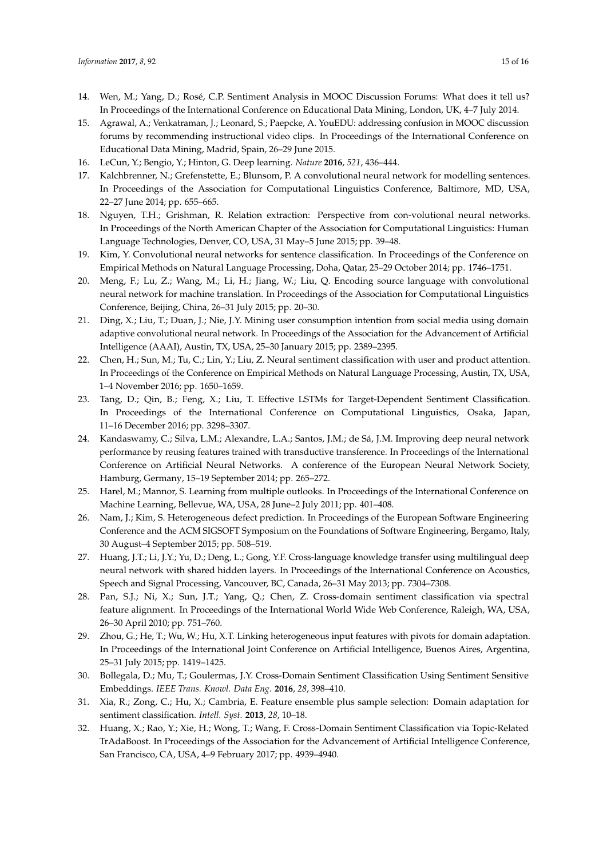- <span id="page-14-0"></span>14. Wen, M.; Yang, D.; Rosé, C.P. Sentiment Analysis in MOOC Discussion Forums: What does it tell us? In Proceedings of the International Conference on Educational Data Mining, London, UK, 4–7 July 2014.
- <span id="page-14-1"></span>15. Agrawal, A.; Venkatraman, J.; Leonard, S.; Paepcke, A. YouEDU: addressing confusion in MOOC discussion forums by recommending instructional video clips. In Proceedings of the International Conference on Educational Data Mining, Madrid, Spain, 26–29 June 2015.
- <span id="page-14-2"></span>16. LeCun, Y.; Bengio, Y.; Hinton, G. Deep learning. *Nature* **2016**, *521*, 436–444.
- <span id="page-14-3"></span>17. Kalchbrenner, N.; Grefenstette, E.; Blunsom, P. A convolutional neural network for modelling sentences. In Proceedings of the Association for Computational Linguistics Conference, Baltimore, MD, USA, 22–27 June 2014; pp. 655–665.
- <span id="page-14-4"></span>18. Nguyen, T.H.; Grishman, R. Relation extraction: Perspective from con-volutional neural networks. In Proceedings of the North American Chapter of the Association for Computational Linguistics: Human Language Technologies, Denver, CO, USA, 31 May–5 June 2015; pp. 39–48.
- <span id="page-14-5"></span>19. Kim, Y. Convolutional neural networks for sentence classification. In Proceedings of the Conference on Empirical Methods on Natural Language Processing, Doha, Qatar, 25–29 October 2014; pp. 1746–1751.
- <span id="page-14-6"></span>20. Meng, F.; Lu, Z.; Wang, M.; Li, H.; Jiang, W.; Liu, Q. Encoding source language with convolutional neural network for machine translation. In Proceedings of the Association for Computational Linguistics Conference, Beijing, China, 26–31 July 2015; pp. 20–30.
- <span id="page-14-7"></span>21. Ding, X.; Liu, T.; Duan, J.; Nie, J.Y. Mining user consumption intention from social media using domain adaptive convolutional neural network. In Proceedings of the Association for the Advancement of Artificial Intelligence (AAAI), Austin, TX, USA, 25–30 January 2015; pp. 2389–2395.
- <span id="page-14-8"></span>22. Chen, H.; Sun, M.; Tu, C.; Lin, Y.; Liu, Z. Neural sentiment classification with user and product attention. In Proceedings of the Conference on Empirical Methods on Natural Language Processing, Austin, TX, USA, 1–4 November 2016; pp. 1650–1659.
- <span id="page-14-9"></span>23. Tang, D.; Qin, B.; Feng, X.; Liu, T. Effective LSTMs for Target-Dependent Sentiment Classification. In Proceedings of the International Conference on Computational Linguistics, Osaka, Japan, 11–16 December 2016; pp. 3298–3307.
- <span id="page-14-10"></span>24. Kandaswamy, C.; Silva, L.M.; Alexandre, L.A.; Santos, J.M.; de Sá, J.M. Improving deep neural network performance by reusing features trained with transductive transference. In Proceedings of the International Conference on Artificial Neural Networks. A conference of the European Neural Network Society, Hamburg, Germany, 15–19 September 2014; pp. 265–272.
- <span id="page-14-11"></span>25. Harel, M.; Mannor, S. Learning from multiple outlooks. In Proceedings of the International Conference on Machine Learning, Bellevue, WA, USA, 28 June–2 July 2011; pp. 401–408.
- <span id="page-14-12"></span>26. Nam, J.; Kim, S. Heterogeneous defect prediction. In Proceedings of the European Software Engineering Conference and the ACM SIGSOFT Symposium on the Foundations of Software Engineering, Bergamo, Italy, 30 August–4 September 2015; pp. 508–519.
- <span id="page-14-13"></span>27. Huang, J.T.; Li, J.Y.; Yu, D.; Deng, L.; Gong, Y.F. Cross-language knowledge transfer using multilingual deep neural network with shared hidden layers. In Proceedings of the International Conference on Acoustics, Speech and Signal Processing, Vancouver, BC, Canada, 26–31 May 2013; pp. 7304–7308.
- <span id="page-14-14"></span>28. Pan, S.J.; Ni, X.; Sun, J.T.; Yang, Q.; Chen, Z. Cross-domain sentiment classification via spectral feature alignment. In Proceedings of the International World Wide Web Conference, Raleigh, WA, USA, 26–30 April 2010; pp. 751–760.
- <span id="page-14-15"></span>29. Zhou, G.; He, T.; Wu, W.; Hu, X.T. Linking heterogeneous input features with pivots for domain adaptation. In Proceedings of the International Joint Conference on Artificial Intelligence, Buenos Aires, Argentina, 25–31 July 2015; pp. 1419–1425.
- <span id="page-14-16"></span>30. Bollegala, D.; Mu, T.; Goulermas, J.Y. Cross-Domain Sentiment Classification Using Sentiment Sensitive Embeddings. *IEEE Trans. Knowl. Data Eng.* **2016**, *28*, 398–410.
- <span id="page-14-17"></span>31. Xia, R.; Zong, C.; Hu, X.; Cambria, E. Feature ensemble plus sample selection: Domain adaptation for sentiment classification. *Intell. Syst.* **2013**, *28*, 10–18.
- <span id="page-14-18"></span>32. Huang, X.; Rao, Y.; Xie, H.; Wong, T.; Wang, F. Cross-Domain Sentiment Classification via Topic-Related TrAdaBoost. In Proceedings of the Association for the Advancement of Artificial Intelligence Conference, San Francisco, CA, USA, 4–9 February 2017; pp. 4939–4940.